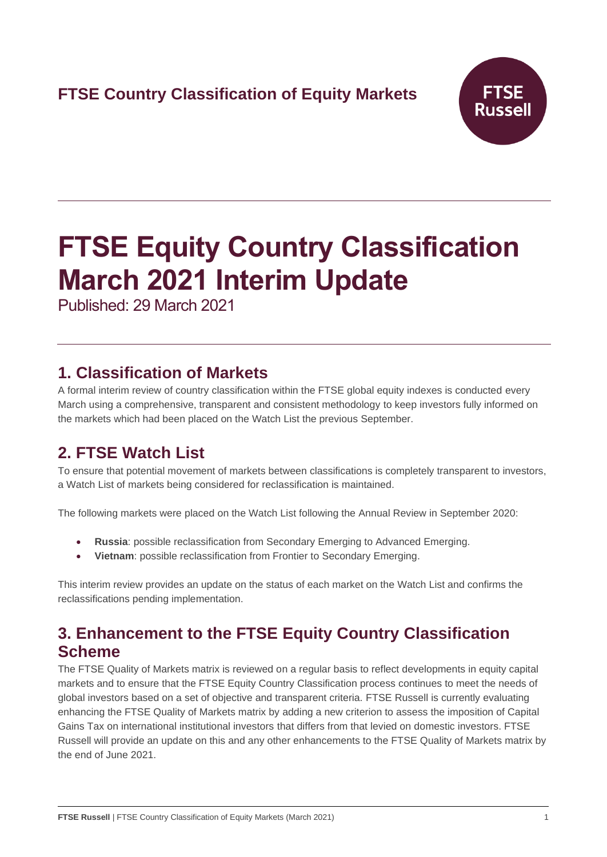# **FTSE Country Classification of Equity Markets**



# **FTSE Equity Country Classification March 2021 Interim Update**

Published: 29 March 2021

## **1. Classification of Markets**

A formal interim review of country classification within the FTSE global equity indexes is conducted every March using a comprehensive, transparent and consistent methodology to keep investors fully informed on the markets which had been placed on the Watch List the previous September.

# **2. FTSE Watch List**

To ensure that potential movement of markets between classifications is completely transparent to investors, a Watch List of markets being considered for reclassification is maintained.

The following markets were placed on the Watch List following the Annual Review in September 2020:

- **Russia**: possible reclassification from Secondary Emerging to Advanced Emerging.
- **Vietnam**: possible reclassification from Frontier to Secondary Emerging.

This interim review provides an update on the status of each market on the Watch List and confirms the reclassifications pending implementation.

# **3. Enhancement to the FTSE Equity Country Classification Scheme**

The FTSE Quality of Markets matrix is reviewed on a regular basis to reflect developments in equity capital markets and to ensure that the FTSE Equity Country Classification process continues to meet the needs of global investors based on a set of objective and transparent criteria. FTSE Russell is currently evaluating enhancing the FTSE Quality of Markets matrix by adding a new criterion to assess the imposition of Capital Gains Tax on international institutional investors that differs from that levied on domestic investors. FTSE Russell will provide an update on this and any other enhancements to the FTSE Quality of Markets matrix by the end of June 2021.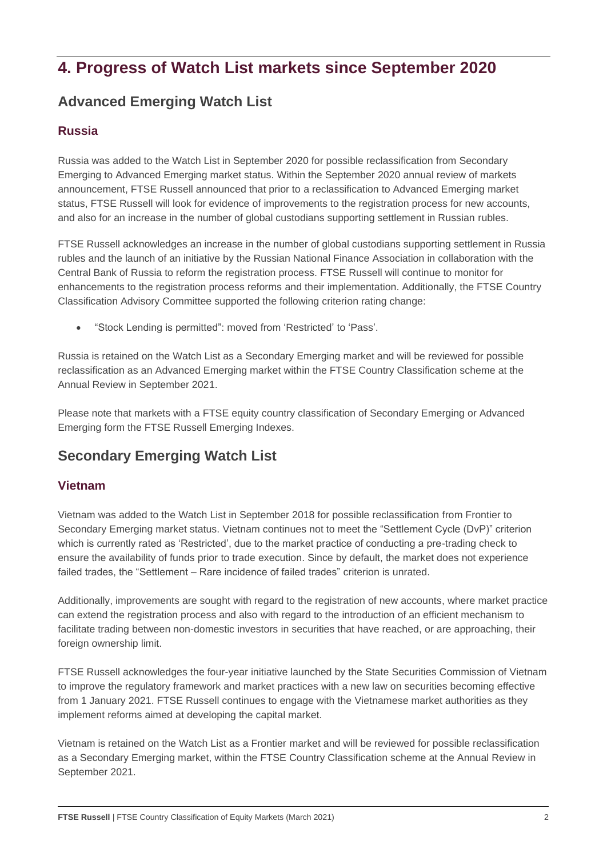# **4. Progress of Watch List markets since September 2020**

## **Advanced Emerging Watch List**

#### **Russia**

Russia was added to the Watch List in September 2020 for possible reclassification from Secondary Emerging to Advanced Emerging market status. Within the September 2020 annual review of markets announcement, FTSE Russell announced that prior to a reclassification to Advanced Emerging market status, FTSE Russell will look for evidence of improvements to the registration process for new accounts, and also for an increase in the number of global custodians supporting settlement in Russian rubles.

FTSE Russell acknowledges an increase in the number of global custodians supporting settlement in Russia rubles and the launch of an initiative by the Russian National Finance Association in collaboration with the Central Bank of Russia to reform the registration process. FTSE Russell will continue to monitor for enhancements to the registration process reforms and their implementation. Additionally, the FTSE Country Classification Advisory Committee supported the following criterion rating change:

• "Stock Lending is permitted": moved from 'Restricted' to 'Pass'.

Russia is retained on the Watch List as a Secondary Emerging market and will be reviewed for possible reclassification as an Advanced Emerging market within the FTSE Country Classification scheme at the Annual Review in September 2021.

Please note that markets with a FTSE equity country classification of Secondary Emerging or Advanced Emerging form the FTSE Russell Emerging Indexes.

## **Secondary Emerging Watch List**

### **Vietnam**

Vietnam was added to the Watch List in September 2018 for possible reclassification from Frontier to Secondary Emerging market status. Vietnam continues not to meet the "Settlement Cycle (DvP)" criterion which is currently rated as 'Restricted', due to the market practice of conducting a pre-trading check to ensure the availability of funds prior to trade execution. Since by default, the market does not experience failed trades, the "Settlement – Rare incidence of failed trades" criterion is unrated.

Additionally, improvements are sought with regard to the registration of new accounts, where market practice can extend the registration process and also with regard to the introduction of an efficient mechanism to facilitate trading between non-domestic investors in securities that have reached, or are approaching, their foreign ownership limit.

FTSE Russell acknowledges the four-year initiative launched by the State Securities Commission of Vietnam to improve the regulatory framework and market practices with a new law on securities becoming effective from 1 January 2021. FTSE Russell continues to engage with the Vietnamese market authorities as they implement reforms aimed at developing the capital market.

Vietnam is retained on the Watch List as a Frontier market and will be reviewed for possible reclassification as a Secondary Emerging market, within the FTSE Country Classification scheme at the Annual Review in September 2021.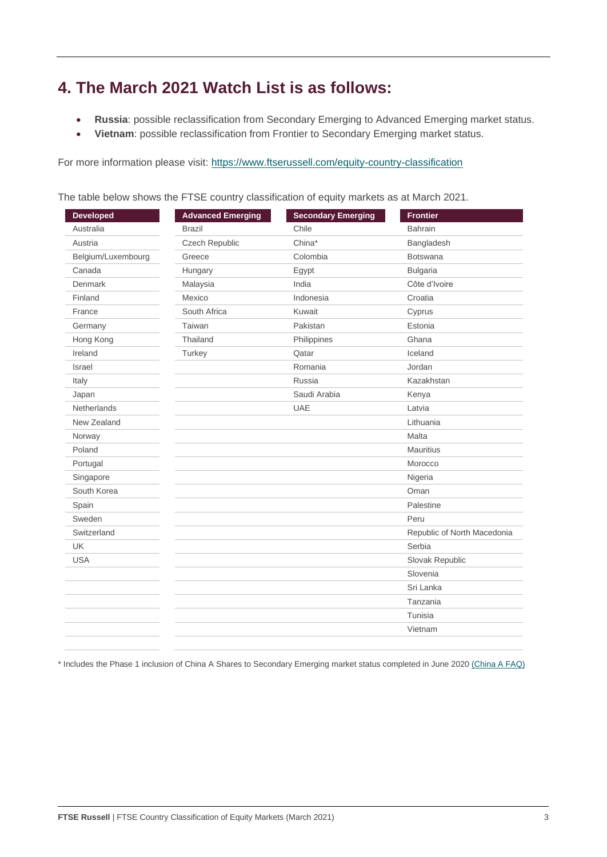# **4. The March 2021 Watch List is as follows:**

- **Russia**: possible reclassification from Secondary Emerging to Advanced Emerging market status.
- **Vietnam**: possible reclassification from Frontier to Secondary Emerging market status.

For more information please visit: <https://www.ftserussell.com/equity-country-classification>

| <b>Developed</b>   | <b>Advanced Emerging</b> | <b>Secondary Emerging</b> | <b>Frontier</b>             |
|--------------------|--------------------------|---------------------------|-----------------------------|
| Australia          | <b>Brazil</b>            | Chile                     | <b>Bahrain</b>              |
| Austria            | Czech Republic           | China*                    | Bangladesh                  |
| Belgium/Luxembourg | Greece                   | Colombia                  | <b>Botswana</b>             |
| Canada             | Hungary                  | Egypt                     | <b>Bulgaria</b>             |
| Denmark            | Malaysia                 | India                     | Côte d'Ivoire               |
| Finland            | Mexico                   | Indonesia                 | Croatia                     |
| France             | South Africa             | Kuwait                    | Cyprus                      |
| Germany            | Taiwan                   | Pakistan                  | Estonia                     |
| Hong Kong          | Thailand                 | Philippines               | Ghana                       |
| Ireland            | Turkey                   | Qatar                     | Iceland                     |
| Israel             |                          | Romania                   | Jordan                      |
| Italy              |                          | Russia                    | Kazakhstan                  |
| Japan              |                          | Saudi Arabia              | Kenya                       |
| Netherlands        |                          | UAE                       | Latvia                      |
| New Zealand        |                          |                           | Lithuania                   |
| Norway             |                          |                           | Malta                       |
| Poland             |                          |                           | <b>Mauritius</b>            |
| Portugal           |                          |                           | Morocco                     |
| Singapore          |                          |                           | Nigeria                     |
| South Korea        |                          |                           | Oman                        |
| Spain              |                          |                           | Palestine                   |
| Sweden             |                          |                           | Peru                        |
| Switzerland        |                          |                           | Republic of North Macedonia |
| <b>UK</b>          |                          |                           | Serbia                      |
| <b>USA</b>         |                          |                           | Slovak Republic             |
|                    |                          |                           | Slovenia                    |
|                    |                          |                           | Sri Lanka                   |
|                    |                          |                           | Tanzania                    |
|                    |                          |                           | Tunisia                     |
|                    |                          |                           | Vietnam                     |

The table below shows the FTSE country classification of equity markets as at March 2021.

\* Includes the Phase 1 inclusion of China A Shares to Secondary Emerging market status completed in June 2020 [\(China A FAQ\)](https://research.ftserussell.com/products/downloads/FTSE_FAQ_Document_China_A.pdf)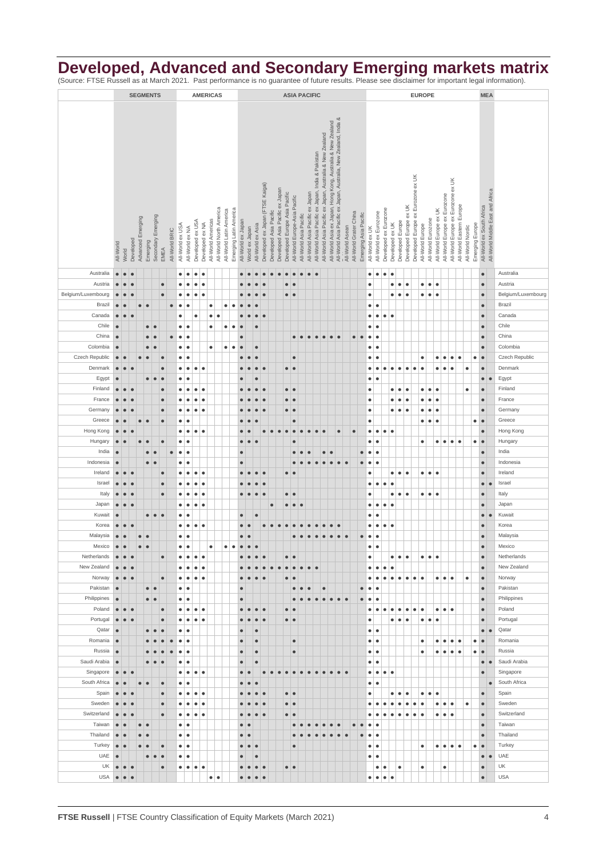## **Developed, Advanced and Secondary Emerging markets matrix**

(Source: FTSE Russell as at March 2021. Past performance is no guarantee of future results. Please see disclaimer for important legal information).

|                       |                        |                        |           |                   |                         | <b>SEGMENTS</b>    |                        |                |                  | <b>AMERICAS</b>        |                        |                        |                    |                         |                         |                                              | <b>ASIA PACIFIC</b>                                                                                                                                                                         |                         |                                  |                        |                                 |                                                                |                        |                                 |                                                   |           |                  |                        | <b>EUROPE</b>          |                       |                 |                       |                       |                        |                                                  |                                    |                  |                         |                        |                              | <b>MEA</b>                         |                          |                 |                           |                                  |                    |
|-----------------------|------------------------|------------------------|-----------|-------------------|-------------------------|--------------------|------------------------|----------------|------------------|------------------------|------------------------|------------------------|--------------------|-------------------------|-------------------------|----------------------------------------------|---------------------------------------------------------------------------------------------------------------------------------------------------------------------------------------------|-------------------------|----------------------------------|------------------------|---------------------------------|----------------------------------------------------------------|------------------------|---------------------------------|---------------------------------------------------|-----------|------------------|------------------------|------------------------|-----------------------|-----------------|-----------------------|-----------------------|------------------------|--------------------------------------------------|------------------------------------|------------------|-------------------------|------------------------|------------------------------|------------------------------------|--------------------------|-----------------|---------------------------|----------------------------------|--------------------|
|                       |                        |                        |           |                   |                         |                    |                        |                |                  |                        |                        |                        |                    |                         |                         |                                              |                                                                                                                                                                                             |                         |                                  |                        |                                 |                                                                |                        |                                 |                                                   |           |                  |                        |                        |                       |                 |                       |                       |                        |                                                  |                                    |                  |                         |                        |                              |                                    |                          |                 |                           |                                  |                    |
|                       |                        |                        |           |                   |                         |                    |                        |                |                  |                        |                        |                        |                    |                         |                         |                                              |                                                                                                                                                                                             |                         |                                  |                        |                                 |                                                                |                        |                                 |                                                   |           |                  |                        |                        |                       |                 |                       |                       |                        |                                                  |                                    |                  |                         |                        |                              |                                    |                          |                 |                           |                                  |                    |
|                       |                        |                        |           |                   |                         |                    |                        |                |                  |                        |                        |                        |                    |                         |                         |                                              |                                                                                                                                                                                             |                         |                                  |                        |                                 |                                                                |                        |                                 |                                                   |           |                  |                        |                        |                       |                 |                       |                       |                        |                                                  |                                    |                  |                         |                        |                              |                                    |                          |                 |                           |                                  |                    |
|                       |                        |                        |           |                   |                         |                    |                        |                |                  |                        |                        |                        |                    |                         |                         |                                              |                                                                                                                                                                                             |                         |                                  |                        |                                 |                                                                |                        |                                 |                                                   |           |                  |                        |                        |                       |                 |                       |                       |                        |                                                  |                                    |                  |                         |                        |                              |                                    |                          |                 |                           |                                  |                    |
|                       |                        |                        |           |                   |                         |                    |                        |                |                  |                        |                        |                        |                    |                         |                         |                                              | All-World Asia ex Japan, Hong Kong, Australia & New Zealand<br>All-World Asia Pacific ex Japan, Australia, New Zealand, India &<br>All-World Asia Pacific ex Japan, Australia & New Zealand |                         |                                  |                        |                                 |                                                                |                        |                                 |                                                   |           |                  |                        |                        |                       |                 |                       |                       |                        |                                                  |                                    |                  |                         |                        |                              |                                    |                          |                 |                           |                                  |                    |
|                       |                        |                        |           |                   |                         |                    |                        |                |                  |                        |                        |                        |                    |                         |                         |                                              |                                                                                                                                                                                             |                         |                                  |                        |                                 |                                                                |                        |                                 | All-World Asia Pacific ex Japan, India & Pakistan |           |                  |                        |                        |                       |                 |                       |                       |                        |                                                  |                                    |                  |                         |                        |                              |                                    |                          |                 |                           |                                  |                    |
|                       |                        |                        |           |                   |                         |                    |                        |                |                  |                        |                        |                        |                    |                         |                         |                                              |                                                                                                                                                                                             |                         |                                  |                        |                                 |                                                                |                        |                                 |                                                   |           |                  |                        |                        |                       |                 |                       |                       |                        |                                                  |                                    |                  |                         |                        |                              |                                    |                          |                 |                           |                                  |                    |
|                       |                        |                        |           |                   |                         |                    |                        |                |                  |                        |                        |                        |                    |                         |                         |                                              |                                                                                                                                                                                             |                         |                                  |                        |                                 |                                                                |                        |                                 |                                                   |           |                  |                        |                        |                       |                 |                       |                       |                        |                                                  |                                    |                  |                         |                        |                              |                                    |                          |                 |                           |                                  |                    |
|                       |                        |                        |           |                   |                         |                    |                        |                |                  |                        |                        |                        |                    |                         |                         |                                              |                                                                                                                                                                                             |                         |                                  |                        |                                 |                                                                |                        |                                 |                                                   |           |                  |                        |                        |                       |                 |                       |                       |                        |                                                  |                                    |                  |                         |                        |                              |                                    |                          |                 |                           |                                  |                    |
|                       |                        |                        |           |                   |                         |                    |                        |                |                  |                        |                        |                        |                    |                         |                         |                                              |                                                                                                                                                                                             |                         |                                  |                        |                                 |                                                                |                        |                                 |                                                   |           |                  |                        |                        |                       |                 |                       |                       |                        |                                                  |                                    |                  |                         |                        |                              |                                    |                          |                 |                           |                                  |                    |
|                       |                        |                        |           |                   |                         |                    |                        |                |                  |                        |                        |                        |                    |                         |                         |                                              |                                                                                                                                                                                             |                         |                                  |                        |                                 |                                                                |                        |                                 |                                                   |           |                  |                        |                        |                       |                 |                       |                       |                        |                                                  |                                    |                  |                         |                        |                              |                                    |                          |                 |                           |                                  |                    |
|                       |                        |                        |           | Advanced Emerging |                         | Secondary Emerging |                        |                | All-World ex USA |                        | Developed ex USA       | Developed ex NA        | All-World Americas | All-World North America | All-World Latin America | Emerging Latin America<br>All-World ex Japan |                                                                                                                                                                                             | All-World ex Asia       | Developed ex Japan (FTSE Kaigai) | Developed Asia Pacific | Developed Asia Pacific ex Japan | Developed Europe Asia Pacific<br>All-World Europe-Asia Pacific | All-World Asia Pacific | All-World Asia Pacific ex Japan |                                                   |           |                  |                        | All-World Grater China | Emerging Asia Pacific |                 | All-World ex Eurozone | Developed ex Eurozone | Developed ex UK        | Developed Europe ex UK<br>Developed Europe       | Developed Europe ex Eurozone ex UK | All-World Europe | All-World Eurozone      | All-World Europe ex UK | All-World Europe ex Eurozone | All-World Europe ex Eurozone ex UK | All-World Eastern Europe | Emerging Europe | All-World ex South Africa | All-World Middle East and Africa |                    |
|                       |                        |                        |           |                   |                         |                    |                        | All-World BRIC |                  | All-World ex NA        |                        |                        |                    |                         |                         |                                              | World ex Japan                                                                                                                                                                              |                         |                                  |                        |                                 |                                                                |                        |                                 |                                                   |           |                  |                        | All-World Asean        |                       | All-World ex UK |                       |                       |                        |                                                  |                                    |                  |                         |                        |                              |                                    | All-World Nordic         |                 |                           |                                  |                    |
|                       | All-World              | World                  | Developed |                   | Emerging                |                    | EMEA                   |                |                  |                        |                        |                        |                    |                         |                         |                                              |                                                                                                                                                                                             |                         |                                  |                        |                                 |                                                                |                        |                                 |                                                   |           |                  |                        |                        |                       |                 |                       |                       |                        |                                                  |                                    |                  |                         |                        |                              |                                    |                          |                 |                           |                                  |                    |
|                       |                        |                        |           |                   |                         |                    |                        |                |                  |                        |                        |                        |                    |                         |                         |                                              |                                                                                                                                                                                             |                         |                                  |                        |                                 |                                                                |                        |                                 |                                                   |           |                  |                        |                        |                       |                 |                       |                       |                        |                                                  |                                    |                  |                         |                        |                              |                                    |                          |                 |                           |                                  |                    |
| Australia             | $\bullet$              |                        | $\bullet$ |                   |                         |                    |                        |                | $\bullet$        | $\bullet$              | $\bullet$              | $\bullet$              |                    |                         |                         |                                              |                                                                                                                                                                                             |                         |                                  |                        |                                 | $\bullet$<br>$\bullet$                                         | $\bullet$              | $\bullet$                       | ¢                                                 |           |                  |                        |                        |                       | $\bullet$       | $\bullet$             | $\bullet$             | $\bullet$              |                                                  |                                    |                  |                         |                        |                              |                                    |                          |                 | $\bullet$                 |                                  | Australia          |
| Austria               | $\bullet$              |                        |           |                   |                         |                    | $\bullet$              |                | ٠                | $\bullet$              | $\bullet$              | $\bullet$              |                    |                         |                         |                                              |                                                                                                                                                                                             |                         |                                  |                        |                                 | $\bullet$<br>$\bullet$                                         |                        |                                 |                                                   |           |                  |                        |                        |                       | $\bullet$       |                       |                       | $\bullet$              | $\bullet$<br>$\bullet$                           |                                    | $\bullet$        | $\bullet$               | $\bullet$              |                              |                                    |                          |                 | $\bullet$                 |                                  | Austria            |
| Belgium/Luxembourg    | $\bullet$              |                        |           |                   |                         |                    | $\bullet$              |                | ٠                | $\bullet$              | $\bullet$              | $\bullet$              |                    |                         |                         |                                              |                                                                                                                                                                                             |                         |                                  |                        |                                 | $\bullet$<br>$\bullet$                                         |                        |                                 |                                                   |           |                  |                        |                        |                       | $\bullet$       |                       |                       | $\bullet$              | $\bullet$<br>$\bullet$                           |                                    | $\bullet$        | $\bullet$               | $\bullet$              |                              |                                    |                          |                 | $\bullet$                 |                                  | Belgium/Luxembourg |
| Brazil                | $\bullet$              |                        |           | $\bullet$         | $\bullet$               |                    |                        | $\bullet$      | $\bullet$        | $\bullet$              |                        |                        | $\bullet$          |                         | $\bullet$<br>$\bullet$  |                                              |                                                                                                                                                                                             |                         |                                  |                        |                                 |                                                                |                        |                                 |                                                   |           |                  |                        |                        |                       | $\bullet$       | $\bullet$             |                       |                        |                                                  |                                    |                  |                         |                        |                              |                                    |                          |                 | $\bullet$                 |                                  | Brazil             |
| Canada                | $\bullet$              | $\bullet$              |           |                   |                         |                    |                        |                | ٠                |                        | $\bullet$              |                        | $\bullet$          | $\bullet$               |                         |                                              |                                                                                                                                                                                             | $\bullet$               | $\bullet$                        |                        |                                 |                                                                |                        |                                 |                                                   |           |                  |                        |                        |                       | $\bullet$       | $\bullet$             | $\bullet$             | ٠                      |                                                  |                                    |                  |                         |                        |                              |                                    |                          |                 | $\bullet$                 |                                  | Canada             |
| Chile                 | $\bullet$              |                        |           |                   | $\qquad \qquad \bullet$ | $\bullet$          |                        |                | ٠                | $\bullet$              |                        |                        | $\bullet$          |                         | $\bullet$               | $\bullet$<br>$\bullet$                       |                                                                                                                                                                                             | $\bullet$               |                                  |                        |                                 |                                                                |                        |                                 |                                                   |           |                  |                        |                        |                       | $\bullet$       | ٠                     |                       |                        |                                                  |                                    |                  |                         |                        |                              |                                    |                          |                 | $\bullet$                 |                                  | Chile              |
| China                 | $\bullet$              |                        |           |                   | $\bullet$               | $\bullet$          |                        | $\bullet$      | $\bullet$        | $\bullet$              |                        |                        |                    |                         |                         | $\bullet$                                    |                                                                                                                                                                                             |                         |                                  |                        |                                 | $\bullet$                                                      | $\bullet$              | $\bullet$                       | $\bullet$                                         | $\bullet$ | $\bullet$        | $\bullet$              | $\bullet$              | $\bullet$             | $\bullet$       | $\bullet$             |                       |                        |                                                  |                                    |                  |                         |                        |                              |                                    |                          |                 | $\bullet$                 |                                  | China              |
| Colombia              | $\bullet$              |                        |           |                   | $\bullet$               |                    |                        |                | ٠                | $\bullet$              |                        |                        | $\bullet$          |                         | $\bullet$               | $\bullet$<br>$\bullet$                       |                                                                                                                                                                                             | $\bullet$               |                                  |                        |                                 |                                                                |                        |                                 |                                                   |           |                  |                        |                        |                       | $\bullet$       | ٠                     |                       |                        |                                                  |                                    |                  |                         |                        |                              |                                    |                          |                 | $\bullet$                 |                                  | Colombia           |
| Czech Republic        | $\bullet$              | $\bullet$              |           |                   |                         |                    | ¢                      |                | ٠                | $\bullet$              |                        |                        |                    |                         |                         |                                              |                                                                                                                                                                                             |                         |                                  |                        |                                 | $\bullet$                                                      |                        |                                 |                                                   |           |                  |                        |                        |                       | $\bullet$       | $\bullet$             |                       |                        |                                                  |                                    | $\bullet$        |                         | $\bullet$              | $\bullet$                    | $\bullet$                          | $\bullet$                | $\bullet$       | $\bullet$                 |                                  | Czech Republic     |
| Denmark               | $\bullet$              | $\bullet$              |           |                   |                         |                    | $\bullet$              |                | ٠                | $\bullet$              | $\bullet$              | $\bullet$              |                    |                         |                         |                                              |                                                                                                                                                                                             |                         | $\epsilon$                       |                        |                                 | $\bullet$<br>$\bullet$                                         |                        |                                 |                                                   |           |                  |                        |                        |                       | $\bullet$       | $\bullet$             | $\bullet$             | $\bullet$              | $\bullet$<br>$\bullet$                           | $\bullet$                          | $\bullet$        |                         | ٠                      | $\bullet$                    | $\bullet$                          | $\bullet$                |                 | $\bullet$                 |                                  | Denmark            |
| Egypt<br>Finland      | $\bullet$              | $\bullet$              | $\bullet$ |                   | $\bullet$               | $\bullet$          | $\bullet$<br>$\bullet$ |                | ٠                | $\bullet$              |                        |                        |                    |                         |                         |                                              |                                                                                                                                                                                             |                         |                                  |                        |                                 |                                                                |                        |                                 |                                                   |           |                  |                        |                        |                       | $\bullet$       | $\bullet$             |                       | $\bullet$              | $\bullet$                                        |                                    |                  |                         |                        |                              |                                    |                          |                 | $\bullet$                 | $\bullet$                        | Egypt<br>Finland   |
| France                | $\bullet$<br>$\bullet$ | $\epsilon$             |           |                   |                         |                    | $\bullet$              |                | ٠<br>٠           | $\bullet$<br>$\bullet$ | ٠<br>٠                 | $\bullet$<br>$\bullet$ |                    |                         |                         |                                              |                                                                                                                                                                                             |                         |                                  |                        |                                 | $\bullet$<br>$\bullet$<br>$\bullet$<br>$\bullet$               |                        |                                 |                                                   |           |                  |                        |                        |                       | ٠<br>٠          |                       |                       | ٠                      | $\bullet$<br>$\bullet$<br>٠                      |                                    | $\bullet$<br>٠   | $\bullet$<br>$\bullet$  | $\bullet$<br>٠         |                              |                                    | $\bullet$                |                 | $\bullet$<br>$\bullet$    |                                  | France             |
| Germany               | $\bullet$              | $\bullet$              | $\bullet$ |                   |                         |                    | $\bullet$              |                | ٠                | $\bullet$              | ٠                      | $\bullet$              |                    |                         |                         |                                              |                                                                                                                                                                                             |                         |                                  |                        |                                 | $\bullet$<br>$\bullet$                                         |                        |                                 |                                                   |           |                  |                        |                        |                       | ٠               |                       |                       | $\bullet$              | $\bullet$<br>$\bullet$                           |                                    | ٠                | ٠                       | ٠                      |                              |                                    |                          |                 | $\bullet$                 |                                  | Germany            |
| Greece                | $\bullet$              |                        |           | $\bullet$         | $\bullet$               |                    | $\bullet$              |                | ٠                | $\bullet$              |                        |                        |                    |                         |                         |                                              |                                                                                                                                                                                             |                         |                                  |                        |                                 | $\bullet$                                                      |                        |                                 |                                                   |           |                  |                        |                        |                       | $\bullet$       |                       |                       |                        |                                                  |                                    | $\bullet$        | $\bullet$               | $\bullet$              |                              |                                    |                          | $\bullet$       | $\bullet$                 |                                  | Greece             |
| Hong Kong             | $\bullet$              | $\bullet$              |           |                   |                         |                    |                        |                | ٠                | $\bullet$              | $\bullet$              | $\bullet$              |                    |                         |                         | $\bullet$                                    |                                                                                                                                                                                             |                         | $\bullet$                        | $\bullet$              | $\bullet$                       | $\bullet$<br>$\bullet$                                         | $\bullet$              | $\bullet$                       | $\bullet$                                         |           |                  | $\bullet$              | $\bullet$              |                       | $\bullet$       | $\bullet$             | $\bullet$             | $\bullet$              |                                                  |                                    |                  |                         |                        |                              |                                    |                          |                 | $\bullet$                 |                                  | Hong Kong          |
| Hungary               | $\bullet$              |                        |           | $\bullet$         |                         |                    | $\bullet$              |                | $\bullet$        | $\bullet$              |                        |                        |                    |                         |                         | $\bullet$                                    | $\bullet$                                                                                                                                                                                   |                         |                                  |                        |                                 | $\bullet$                                                      |                        |                                 |                                                   |           |                  |                        |                        |                       | $\bullet$       | ٠                     |                       |                        |                                                  |                                    | $\bullet$        |                         | ٠                      | $\bullet$                    | $\bullet$                          | $\bullet$                | $\bullet$       | $\bullet$                 |                                  | Hungary            |
| India                 | $\bullet$              |                        |           |                   | $\bullet$               |                    |                        | $\bullet$      | ٠                | $\bullet$              |                        |                        |                    |                         |                         | $\bullet$                                    |                                                                                                                                                                                             |                         |                                  |                        |                                 |                                                                |                        |                                 |                                                   |           |                  |                        |                        | $\bullet$             | $\bullet$       | $\bullet$             |                       |                        |                                                  |                                    |                  |                         |                        |                              |                                    |                          |                 | $\bullet$                 |                                  | India              |
| Indonesia             | $\bullet$              |                        |           |                   | $\bullet$               | $\bullet$          |                        |                | $\bullet$        | $\bullet$              |                        |                        |                    |                         |                         | $\bullet$                                    |                                                                                                                                                                                             |                         |                                  |                        |                                 | $\bullet$                                                      |                        | $\bullet$                       | $\bullet$                                         | $\bullet$ | $\bullet$        | $\bullet$              | $\bullet$              | $\bullet$             | $\bullet$       | $\bullet$             |                       |                        |                                                  |                                    |                  |                         |                        |                              |                                    |                          |                 | $\bullet$                 |                                  | Indonesia          |
| Ireland               | $\bullet$              | $\bullet$              |           |                   |                         |                    | $\bullet$              |                | ٠                | $\bullet$              | $\bullet$              | $\bullet$              |                    |                         |                         |                                              |                                                                                                                                                                                             |                         |                                  |                        |                                 | $\bullet$<br>$\epsilon$                                        |                        |                                 |                                                   |           |                  |                        |                        |                       | $\bullet$       |                       |                       | $\bullet$              | $\bullet$<br>$\bullet$                           |                                    | $\bullet$        | $\bullet$               | $\bullet$              |                              |                                    |                          |                 | $\bullet$                 |                                  | Ireland            |
| Israel                | $\bullet$              | $\bullet$              | $\bullet$ |                   |                         |                    | $\bullet$              |                | ٠                | $\bullet$              | ٠                      | $\bullet$              |                    |                         |                         |                                              |                                                                                                                                                                                             |                         | $\bullet$                        |                        |                                 |                                                                |                        |                                 |                                                   |           |                  |                        |                        |                       | $\bullet$       | ٠                     | $\bullet$             | $\bullet$              |                                                  |                                    |                  |                         |                        |                              |                                    |                          |                 | $\bullet$                 | $\bullet$                        | Israel             |
| Italy                 | $\bullet$              | $\bullet$              | $\bullet$ |                   |                         |                    | $\bullet$              |                | ٠                | $\bullet$              | ٠                      | $\bullet$              |                    |                         |                         | $\bullet$                                    |                                                                                                                                                                                             |                         | $\bullet$                        |                        |                                 | $\bullet$<br>$\bullet$                                         |                        |                                 |                                                   |           |                  |                        |                        |                       | $\bullet$       |                       |                       | $\bullet$              | $\bullet$<br>$\bullet$                           |                                    | $\bullet$        | $\bullet\bullet$        |                        |                              |                                    |                          |                 | $\bullet$                 |                                  | Italy              |
| Japan                 | $\bullet$              | $\bullet$              | $\bullet$ |                   |                         |                    |                        |                | ٠                | $\bullet$              | ٠                      | $\bullet$              |                    |                         |                         |                                              |                                                                                                                                                                                             |                         |                                  | $\bullet$              |                                 | $\bullet$<br>$\bullet$                                         | $\bullet$              |                                 |                                                   |           |                  |                        |                        |                       | $\bullet$       | $\bullet$             | $\bullet$             | $\bullet$              |                                                  |                                    |                  |                         |                        |                              |                                    |                          |                 | $\bullet$                 |                                  | Japan              |
| Kuwait                | $\bullet$              |                        |           |                   | $\bullet$               | $\bullet$          | $\bullet$              |                | ٠                | $\bullet$              |                        |                        |                    |                         |                         | $\bullet$                                    |                                                                                                                                                                                             | $\bullet$               |                                  |                        |                                 |                                                                |                        |                                 |                                                   |           |                  |                        |                        |                       | ٠               | ٠                     |                       |                        |                                                  |                                    |                  |                         |                        |                              |                                    |                          |                 | $\bullet$                 | €                                | Kuwait             |
| Korea                 | $\bullet$              | $\bullet$              |           |                   |                         |                    |                        |                | ٠                | $\bullet$              | $\bullet$              | $\bullet$              |                    |                         |                         | $\bullet$                                    |                                                                                                                                                                                             |                         | $\bullet$                        |                        | $\bullet$                       |                                                                |                        |                                 |                                                   |           |                  |                        |                        |                       | $\bullet$       | $\bullet$             | $\bullet$             | $\bullet$              |                                                  |                                    |                  |                         |                        |                              |                                    |                          |                 | $\bullet$                 |                                  | Korea              |
| Malaysia<br>Mexico    | $\bullet$<br>$\bullet$ |                        |           | $\bullet$         | $\bullet$               |                    |                        |                | ٠                | $\bullet$              |                        |                        |                    |                         |                         |                                              | $\bullet$<br>$\bullet$                                                                                                                                                                      |                         |                                  |                        |                                 | $\bullet$                                                      | $\bullet$              | $\bullet$                       | $\bullet$                                         | $\bullet$ | $\bullet$        | $\bullet$              | $\bullet$              | $\bullet$             | $\bullet$       | ٠<br>۰                |                       |                        |                                                  |                                    |                  |                         |                        |                              |                                    |                          |                 | $\bullet$                 |                                  | Malaysia<br>Mexico |
| Netherlands           | $\bullet$              | ∣ ●                    | $\bullet$ |                   |                         |                    | $\bullet$              |                | ٠                | ۰<br>$\bullet$         | $\bullet$              | $\bullet$              |                    |                         |                         | $\bullet$                                    |                                                                                                                                                                                             | $\bullet$               | $\bullet$                        |                        |                                 | $\bullet$<br>$\bullet$                                         |                        |                                 |                                                   |           |                  |                        |                        |                       | ٠<br>٠          |                       |                       | ٠                      | $\bullet$<br>$\bullet$                           |                                    |                  | $\bullet\bullet\bullet$ |                        |                              |                                    |                          |                 | $\bullet$                 |                                  | Netherlands        |
| New Zealand           | $\bullet$              | $\bullet$              | $\bullet$ |                   |                         |                    |                        |                | ٠                | $\bullet$              | $\bullet$              | $\bullet$              |                    |                         |                         |                                              |                                                                                                                                                                                             |                         | $\bullet$                        | $\bullet$              | $\bullet$                       | $\bullet$<br>$\bullet$                                         | $\bullet$              | $\bullet$                       | $\bullet$                                         |           |                  |                        |                        |                       | $\bullet$       | $\bullet$             | $\bullet$             | $\bullet$              |                                                  |                                    |                  |                         |                        |                              |                                    |                          |                 | $\bullet$                 |                                  | New Zealand        |
| Norway                | $\bullet$              | $\bullet$              | $\bullet$ |                   |                         |                    | $\bullet$              |                | $\bullet$        | $\bullet$              | $\bullet$              | $\bullet$              |                    |                         |                         | $\bullet$                                    |                                                                                                                                                                                             |                         |                                  |                        |                                 | $\bullet$<br>$\epsilon$                                        |                        |                                 |                                                   |           |                  |                        |                        |                       | $\bullet$       | ٠                     | $\bullet$             | $\bullet$              | $\bullet$                                        | $\bullet$<br>$\bullet$             | $\bullet$        |                         |                        | $\bullet\bullet$             | $\bullet$                          | $\bullet$                |                 | $\bullet$                 |                                  | Norway             |
| Pakistan              | $\bullet$              |                        |           |                   | $\bullet$               | $\bullet$          |                        |                | $\bullet$        | $\bullet$              |                        |                        |                    |                         |                         | $\bullet$                                    |                                                                                                                                                                                             |                         |                                  |                        |                                 | $\bullet$                                                      | $\bullet$              | $\bullet$                       |                                                   | $\bullet$ |                  |                        |                        | $\bullet$             | $\bullet$       | ٠                     |                       |                        |                                                  |                                    |                  |                         |                        |                              |                                    |                          |                 | $\bullet$                 |                                  | Pakistan           |
| Philippines           | $\bullet$              |                        |           |                   |                         | $\bullet\bullet$   |                        |                | $\bullet$        | $\bullet$              |                        |                        |                    |                         |                         | $\bullet$                                    |                                                                                                                                                                                             |                         |                                  |                        |                                 |                                                                |                        |                                 | $\bullet$                                         | $\bullet$ | $\bullet$        | $\bullet$<br>$\bullet$ |                        | $\bullet$             | $\bullet$       | $\bullet$             |                       |                        |                                                  |                                    |                  |                         |                        |                              |                                    |                          |                 | $\bullet$                 |                                  | Philippines        |
| Poland                | $\bullet$              | $\bullet$              | $\bullet$ |                   |                         |                    | $\bullet$              |                | $\bullet$        | $\bullet$              | $\bullet$              | $\bullet$              |                    |                         |                         | $\bullet$                                    | $\bullet$                                                                                                                                                                                   | $\bullet$               | $\bullet$                        |                        |                                 | $\bullet$<br>$\epsilon$                                        |                        |                                 |                                                   |           |                  |                        |                        |                       | $\bullet$       | $\bullet$             |                       | $\bullet$              | $\bullet$<br>$\bullet$                           | $\bullet$                          | $\bullet$        |                         | ٠                      | $\bullet$                    | $\bullet$                          |                          |                 | $\bullet$                 |                                  | Poland             |
| Portugal              | $\bullet$              | $\bullet$              | $\bullet$ |                   |                         |                    | $\bullet$              |                | ٠                | $\bullet$              | $\bullet$              | $\bullet$              |                    |                         |                         | $\bullet$                                    | $\epsilon$                                                                                                                                                                                  | $\bullet$               | $\bullet$                        |                        |                                 | $\bullet\bullet$                                               |                        |                                 |                                                   |           |                  |                        |                        |                       | $\bullet$       |                       |                       | $\bullet$              | $\bullet$<br>$\bullet$                           |                                    | $\bullet$        | $\bullet$               | $\bullet$              |                              |                                    |                          |                 | $\bullet$                 |                                  | Portugal           |
| Qatar                 | $\bullet$              |                        |           |                   | $\bullet$               | $\bullet$          | $\bullet$              |                | ٠                | $\bullet$              |                        |                        |                    |                         |                         | $\bullet$                                    |                                                                                                                                                                                             | $\bullet$               |                                  |                        |                                 |                                                                |                        |                                 |                                                   |           |                  |                        |                        |                       | $\bullet$       | ٠                     |                       |                        |                                                  |                                    |                  |                         |                        |                              |                                    |                          |                 | $\bullet$                 | $\bullet$                        | Qatar              |
| Romania               | $\bullet$              |                        |           |                   | $\bullet$               |                    | $\bullet$              | $\bullet$      | ٠                | $\bullet$              |                        |                        |                    |                         |                         | $\bullet$                                    |                                                                                                                                                                                             | $\qquad \qquad \bullet$ |                                  |                        |                                 | $\bullet$                                                      |                        |                                 |                                                   |           |                  |                        |                        |                       | $\bullet$       | ٠                     |                       |                        |                                                  |                                    | $\bullet$        |                         | ٠                      | $\bullet$                    | $\bullet$                          | ∣●                       | $\bullet$       | $\bullet$                 |                                  | Romania            |
| Russia                | $\bullet$              |                        |           |                   |                         |                    | $\epsilon$             | $\bullet$      | ٠                | $\bullet$              |                        |                        |                    |                         |                         | $\bullet$                                    |                                                                                                                                                                                             | $\bullet$               |                                  |                        |                                 | $\bullet$                                                      |                        |                                 |                                                   |           |                  |                        |                        |                       | $\bullet$       | ٠                     |                       |                        |                                                  |                                    | $\bullet$        |                         | ٠                      | $\bullet$                    | $\bullet$                          | ٠                        | $\bullet$       | $\bullet$                 |                                  | Russia             |
| Saudi Arabia          | $\bullet$              |                        |           |                   | $\bullet$               |                    | $\epsilon$             |                | ٠                | $\bullet$              |                        |                        |                    |                         |                         | $\bullet$                                    |                                                                                                                                                                                             | $\bullet$               |                                  |                        |                                 |                                                                |                        |                                 |                                                   |           |                  |                        |                        |                       | $\bullet$       | ٠                     |                       |                        |                                                  |                                    |                  |                         |                        |                              |                                    |                          |                 | $\bullet$                 | $\bullet$                        | Saudi Arabia       |
| Singapore             |                        | $\bullet\bullet$       | $\bullet$ |                   |                         |                    |                        |                | ٠                | $\bullet$              | $\bullet$              | $\bullet$              |                    |                         |                         | $\bullet$                                    | $\bullet$                                                                                                                                                                                   |                         | $\bullet$                        | $\bullet$              | $\bullet$                       | $\bullet$<br>$\bullet$                                         | $\bullet$              | $\bullet$                       | $\bullet$                                         | $\bullet$ | $\bullet\bullet$ |                        |                        |                       | $\bullet$       | ٠                     | $\bullet$             | $\bullet$              |                                                  |                                    |                  |                         |                        |                              |                                    |                          |                 | $\bullet$                 |                                  | Singapore          |
| South Africa          | $\bullet$              |                        |           | $\bullet$         | $\bullet$               |                    | $\bullet$              |                | $\bullet$        | $\bullet$              |                        |                        |                    |                         |                         | $\bullet$                                    | $\bullet$                                                                                                                                                                                   |                         |                                  |                        |                                 |                                                                |                        |                                 |                                                   |           |                  |                        |                        |                       | $\bullet$       | ٠                     |                       |                        |                                                  |                                    |                  |                         |                        |                              |                                    |                          |                 |                           | $\bullet$                        | South Africa       |
| Spain                 | $\bullet$<br>$\bullet$ | $\bullet$              | $\bullet$ |                   |                         |                    | $\bullet$              |                | ٠                | $\bullet$              | $\bullet$              | $\bullet$              |                    |                         |                         |                                              |                                                                                                                                                                                             |                         | $\bullet$                        |                        |                                 | $\bullet\,\vert\,\bullet$                                      |                        |                                 |                                                   |           |                  |                        |                        |                       | $\bullet$       |                       | $\bullet$             | $\bullet$              | $\bullet$<br>$\bullet$                           |                                    | $\bullet$        | $\bullet$               | $\bullet$              |                              |                                    |                          |                 | $\bullet$                 |                                  | Spain<br>Sweden    |
| Sweden<br>Switzerland | $\bullet$              | $\bullet$<br>$\bullet$ | $\bullet$ |                   |                         |                    | $\bullet$<br>$\bullet$ |                | ٠<br>٠           | $\bullet$<br>$\bullet$ | $\bullet$<br>$\bullet$ | $\bullet$<br>$\bullet$ |                    |                         |                         |                                              |                                                                                                                                                                                             |                         | $\bullet$                        |                        |                                 | $\bullet\bullet$<br>$\bullet$<br>$\bullet$                     |                        |                                 |                                                   |           |                  |                        |                        |                       | ٠<br>$\bullet$  | $\bullet$             | $\bullet$             | $\bullet$<br>$\bullet$ | $\bullet$<br>$\bullet$<br>$\bullet$<br>$\bullet$ | $\bullet$<br>$\bullet$             | ٠<br>٠           |                         | ٠<br>$\bullet$         | $\bullet$<br>$\bullet$       | $\bullet$<br>$\bullet$             | $\bullet$                |                 | $\bullet$<br>$\bullet$    |                                  | Switzerland        |
| Taiwan                | $\bullet$              | $\bullet$              |           |                   | $\bullet\bullet$        |                    |                        |                | $\bullet$        | $\bullet$              |                        |                        |                    |                         |                         | $\bullet$                                    |                                                                                                                                                                                             |                         |                                  |                        |                                 | $\bullet$                                                      |                        |                                 | ٠                                                 | $\bullet$ | $\bullet$        | $\epsilon$             | $\bullet$              | $\bullet$             | $\bullet$       | C                     |                       |                        |                                                  |                                    |                  |                         |                        |                              |                                    |                          |                 | $\bullet$                 |                                  | Taiwan             |
| Thailand              | $\bullet$              | $\bullet$              |           | $\bullet$         | ●                       |                    |                        |                | ٠                | $\bullet$              |                        |                        |                    |                         |                         | $\bullet$                                    | $\bullet$                                                                                                                                                                                   |                         |                                  |                        |                                 | $\bullet$                                                      |                        |                                 |                                                   |           | $\bullet$        | $\bullet$              |                        | $\bullet$             | $\bullet$       | $\bullet$             |                       |                        |                                                  |                                    |                  |                         |                        |                              |                                    |                          |                 | $\bullet$                 |                                  | Thailand           |
| Turkey                | $\bullet\bullet$       |                        |           | $\bullet$         | l o                     |                    | $\bullet$              |                | ٠                | $\bullet$              |                        |                        |                    |                         |                         | $\bullet$                                    | $\bullet$                                                                                                                                                                                   | $\bullet$               |                                  |                        |                                 | $\bullet$                                                      |                        |                                 |                                                   |           |                  |                        |                        |                       | $\bullet$       | $\bullet$             |                       |                        |                                                  |                                    | $\bullet$        |                         |                        | $\bullet\bullet$             | $\bullet\bullet$                   |                          | $\bullet$       | $\bullet$                 |                                  | Turkey             |
| UAE                   | $\bullet$              |                        |           |                   | $\bullet$               | $\bullet$          | $\bullet$              |                | ٠                | $\bullet$              |                        |                        |                    |                         |                         | $\bullet$                                    |                                                                                                                                                                                             | $\bullet$               |                                  |                        |                                 |                                                                |                        |                                 |                                                   |           |                  |                        |                        |                       | $\bullet$       | $\bullet$             |                       |                        |                                                  |                                    |                  |                         |                        |                              |                                    |                          |                 | $\bullet$                 | $\bullet$                        | UAE                |
| UK                    | $\bullet$              | $\bullet$              | $\bullet$ |                   |                         |                    | $\bullet$              |                | $\bullet$        | $\bullet$              | $\bullet$              | $\bullet$              |                    |                         |                         | $\bullet$                                    | $\bullet$                                                                                                                                                                                   | $\bullet$               | $\bullet$                        |                        |                                 | $\bullet\bullet$                                               |                        |                                 |                                                   |           |                  |                        |                        |                       |                 | $\bullet$             | $\bullet$             |                        | $\bullet$                                        |                                    | $\bullet$        |                         |                        | $\bullet$                    |                                    |                          |                 | $\bullet$                 |                                  | UK                 |
| USA                   | $\bullet$              | $\bullet$              | $\bullet$ |                   |                         |                    |                        |                |                  |                        |                        |                        | $\bullet$          | $\bullet$               |                         |                                              | $\bullet\bullet$                                                                                                                                                                            | $\bullet$               | $\bullet$                        |                        |                                 |                                                                |                        |                                 |                                                   |           |                  |                        |                        |                       | $\bullet$       | l.                    | $\bullet$             | Ċ                      |                                                  |                                    |                  |                         |                        |                              |                                    |                          |                 | $\bullet$                 |                                  | <b>USA</b>         |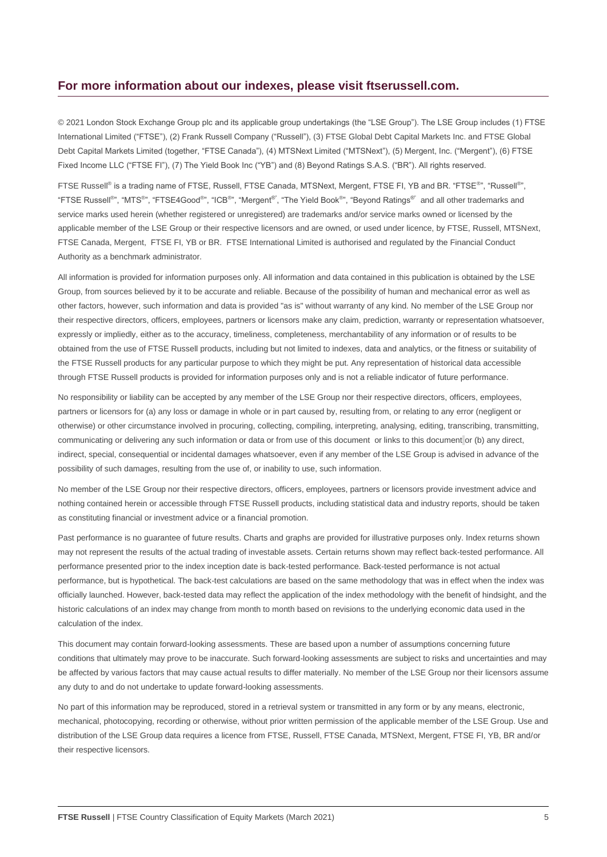#### **For more information about our indexes, please visit ftserussell.com.**

© 2021 London Stock Exchange Group plc and its applicable group undertakings (the "LSE Group"). The LSE Group includes (1) FTSE International Limited ("FTSE"), (2) Frank Russell Company ("Russell"), (3) FTSE Global Debt Capital Markets Inc. and FTSE Global Debt Capital Markets Limited (together, "FTSE Canada"), (4) MTSNext Limited ("MTSNext"), (5) Mergent, Inc. ("Mergent"), (6) FTSE Fixed Income LLC ("FTSE FI"), (7) The Yield Book Inc ("YB") and (8) Beyond Ratings S.A.S. ("BR"). All rights reserved.

FTSE Russell® is a trading name of FTSE, Russell, FTSE Canada, MTSNext, Mergent, FTSE FI, YB and BR. "FTSE®", "Russell®", "FTSE Russell<sup>®</sup>", "MTS<sup>®</sup>", "FTSE4Good<sup>®</sup>", "ICB®", "Mergent®", "The Yield Book<sup>®</sup>", "Beyond Ratings®" and all other trademarks and service marks used herein (whether registered or unregistered) are trademarks and/or service marks owned or licensed by the applicable member of the LSE Group or their respective licensors and are owned, or used under licence, by FTSE, Russell, MTSNext, FTSE Canada, Mergent, FTSE FI, YB or BR. FTSE International Limited is authorised and regulated by the Financial Conduct Authority as a benchmark administrator.

All information is provided for information purposes only. All information and data contained in this publication is obtained by the LSE Group, from sources believed by it to be accurate and reliable. Because of the possibility of human and mechanical error as well as other factors, however, such information and data is provided "as is" without warranty of any kind. No member of the LSE Group nor their respective directors, officers, employees, partners or licensors make any claim, prediction, warranty or representation whatsoever, expressly or impliedly, either as to the accuracy, timeliness, completeness, merchantability of any information or of results to be obtained from the use of FTSE Russell products, including but not limited to indexes, data and analytics, or the fitness or suitability of the FTSE Russell products for any particular purpose to which they might be put. Any representation of historical data accessible through FTSE Russell products is provided for information purposes only and is not a reliable indicator of future performance.

No responsibility or liability can be accepted by any member of the LSE Group nor their respective directors, officers, employees, partners or licensors for (a) any loss or damage in whole or in part caused by, resulting from, or relating to any error (negligent or otherwise) or other circumstance involved in procuring, collecting, compiling, interpreting, analysing, editing, transcribing, transmitting, communicating or delivering any such information or data or from use of this document or links to this document or (b) any direct, indirect, special, consequential or incidental damages whatsoever, even if any member of the LSE Group is advised in advance of the possibility of such damages, resulting from the use of, or inability to use, such information.

No member of the LSE Group nor their respective directors, officers, employees, partners or licensors provide investment advice and nothing contained herein or accessible through FTSE Russell products, including statistical data and industry reports, should be taken as constituting financial or investment advice or a financial promotion.

Past performance is no guarantee of future results. Charts and graphs are provided for illustrative purposes only. Index returns shown may not represent the results of the actual trading of investable assets. Certain returns shown may reflect back-tested performance. All performance presented prior to the index inception date is back-tested performance. Back-tested performance is not actual performance, but is hypothetical. The back-test calculations are based on the same methodology that was in effect when the index was officially launched. However, back-tested data may reflect the application of the index methodology with the benefit of hindsight, and the historic calculations of an index may change from month to month based on revisions to the underlying economic data used in the calculation of the index.

This document may contain forward-looking assessments. These are based upon a number of assumptions concerning future conditions that ultimately may prove to be inaccurate. Such forward-looking assessments are subject to risks and uncertainties and may be affected by various factors that may cause actual results to differ materially. No member of the LSE Group nor their licensors assume any duty to and do not undertake to update forward-looking assessments.

No part of this information may be reproduced, stored in a retrieval system or transmitted in any form or by any means, electronic, mechanical, photocopying, recording or otherwise, without prior written permission of the applicable member of the LSE Group. Use and distribution of the LSE Group data requires a licence from FTSE, Russell, FTSE Canada, MTSNext, Mergent, FTSE FI, YB, BR and/or their respective licensors.